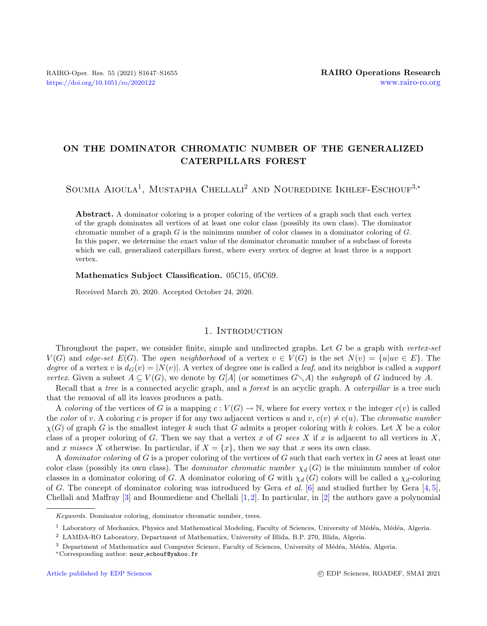# ON THE DOMINATOR CHROMATIC NUMBER OF THE GENERALIZED CATERPILLARS FOREST

SOUMIA AIOULA<sup>1</sup>, MUSTAPHA CHELLALI<sup>2</sup> AND NOUREDDINE IKHLEF-ESCHOUF<sup>3,\*</sup>

Abstract. A dominator coloring is a proper coloring of the vertices of a graph such that each vertex of the graph dominates all vertices of at least one color class (possibly its own class). The dominator chromatic number of a graph  $G$  is the minimum number of color classes in a dominator coloring of  $G$ . In this paper, we determine the exact value of the dominator chromatic number of a subclass of forests which we call, generalized caterpillars forest, where every vertex of degree at least three is a support vertex.

Mathematics Subject Classification. 05C15, 05C69.

Received March 20, 2020. Accepted October 24, 2020.

### 1. INTRODUCTION

Throughout the paper, we consider finite, simple and undirected graphs. Let G be a graph with vertex-set  $V(G)$  and edge-set  $E(G)$ . The open neighborhood of a vertex  $v \in V(G)$  is the set  $N(v) = \{u|uv \in E\}$ . The degree of a vertex v is  $d_G(v) = |N(v)|$ . A vertex of degree one is called a leaf, and its neighbor is called a support vertex. Given a subset  $A \subseteq V(G)$ , we denote by  $G[A]$  (or sometimes  $G \setminus A$ ) the subgraph of G induced by A.

Recall that a tree is a connected acyclic graph, and a *forest* is an acyclic graph. A *caterpillar* is a tree such that the removal of all its leaves produces a path.

A coloring of the vertices of G is a mapping  $c: V(G) \to \mathbb{N}$ , where for every vertex v the integer  $c(v)$  is called the color of v. A coloring c is proper if for any two adjacent vertices u and v,  $c(v) \neq c(u)$ . The chromatic number  $\chi(G)$  of graph G is the smallest integer k such that G admits a proper coloring with k colors. Let X be a color class of a proper coloring of G. Then we say that a vertex x of G sees X if x is adjacent to all vertices in X, and x misses X otherwise. In particular, if  $X = \{x\}$ , then we say that x sees its own class.

A dominator coloring of G is a proper coloring of the vertices of G such that each vertex in G sees at least one color class (possibly its own class). The *dominator chromatic number*  $\chi_d(G)$  is the minimum number of color classes in a dominator coloring of G. A dominator coloring of G with  $\chi_d(G)$  colors will be called a  $\chi_d$ -coloring of G. The concept of dominator coloring was introduced by Gera et al. [\[6\]](#page-8-0) and studied further by Gera [\[4,](#page-8-1) [5\]](#page-8-2), Chellali and Maffray  $[3]$  and Boumediene and Chellali  $[1, 2]$  $[1, 2]$  $[1, 2]$ . In particular, in  $[2]$  the authors gave a polynomial

Keywords. Dominator coloring, dominator chromatic number, trees.

<sup>&</sup>lt;sup>1</sup> Laboratory of Mechanics, Physics and Mathematical Modeling, Faculty of Sciences, University of Médéa, Médéa, Algeria.

<sup>2</sup> LAMDA-RO Laboratory, Department of Mathematics, University of Blida, B.P. 270, Blida, Algeria.

<sup>&</sup>lt;sup>3</sup> Department of Mathematics and Computer Science, Faculty of Sciences, University of Médéa, Médéa, Algeria.

<sup>∗</sup>Corresponding author: nour [echouf@yahoo.fr](mailto:nour_echouf@yahoo.fr)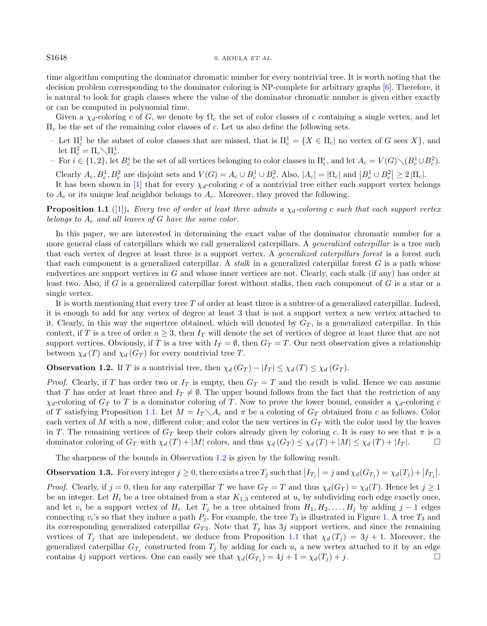#### S1648 S. AIOULA ET AL.

time algorithm computing the dominator chromatic number for every nontrivial tree. It is worth noting that the decision problem corresponding to the dominator coloring is NP-complete for arbitrary graphs [\[6\]](#page-8-0). Therefore, it is natural to look for graph classes where the value of the dominator chromatic number is given either exactly or can be computed in polynomial time.

Given a  $\chi_d$ -coloring c of G, we denote by  $\Omega_c$  the set of color classes of c containing a single vertex, and let  $\Pi_c$  be the set of the remaining color classes of c. Let us also define the following sets.

- Let  $\Pi_c^1$  be the subset of color classes that are missed, that is  $\Pi_c^1 = \{X \in \Pi_c | \text{ no vertex of } G \text{ sees } X\}$ , and let  $\Pi_c^2 = \Pi_c \diagdown \Pi_c^1$ .
- $-$  For  $i \in \{1,2\}$ , let  $B_c^i$  be the set of all vertices belonging to color classes in  $\Pi_c^i$ , and let  $A_c = V(G) \setminus (B_c^1 \cup B_c^2)$ .

Clearly  $A_c, B_c^1, B_c^2$  are disjoint sets and  $V(G) = A_c \cup B_c^1 \cup B_c^2$ . Also,  $|A_c| = |\Omega_c|$  and  $|B_c^1 \cup B_c^2| \ge 2 |\Pi_c|$ .

It has been shown in [\[1\]](#page-8-4) that for every  $\chi_d$ -coloring c of a nontrivial tree either each support vertex belongs to  $A_c$  or its unique leaf neighbor belongs to  $A_c$ . Moreover, they proved the following.

<span id="page-1-0"></span>**Proposition 1.1** ([\[1\]](#page-8-4)). Every tree of order at least three admits a  $\chi_d$ -coloring c such that each support vertex belongs to  $A_c$  and all leaves of G have the same color.

In this paper, we are interested in determining the exact value of the dominator chromatic number for a more general class of caterpillars which we call generalized caterpillars. A *generalized caterpillar* is a tree such that each vertex of degree at least three is a support vertex. A generalized caterpillars forest is a forest such that each component is a generalized caterpillar. A stalk in a generalized caterpillar forest  $G$  is a path whose endvertices are support vertices in G and whose inner vertices are not. Clearly, each stalk (if any) has order at least two. Also, if G is a generalized caterpillar forest without stalks, then each component of G is a star or a single vertex.

It is worth mentioning that every tree  $T$  of order at least three is a subtree of a generalized caterpillar. Indeed, it is enough to add for any vertex of degree at least 3 that is not a support vertex a new vertex attached to it. Clearly, in this way the supertree obtained, which will denoted by  $G_T$ , is a generalized caterpillar. In this context, if T is a tree of order  $n \geq 3$ , then  $I_T$  will denote the set of vertices of degree at least three that are not support vertices. Obviously, if T is a tree with  $I_T = \emptyset$ , then  $G_T = T$ . Our next observation gives a relationship between  $\chi_d(T)$  and  $\chi_d(G_T)$  for every nontrivial tree T.

<span id="page-1-1"></span>**Observation 1.2.** If T is a nontrivial tree, then  $\chi_d(G_T) - |I_T| \leq \chi_d(T) \leq \chi_d(G_T)$ .

*Proof.* Clearly, if T has order two or  $I_T$  is empty, then  $G_T = T$  and the result is valid. Hence we can assume that T has order at least three and  $I_T \neq \emptyset$ . The upper bound follows from the fact that the restriction of any  $\chi_d$ -coloring of  $G_T$  to T is a dominator coloring of T. Now to prove the lower bound, consider a  $\chi_d$ -coloring c of T satisfying Proposition [1.1.](#page-1-0) Let  $M = I_T \setminus A_c$  and  $\pi$  be a coloring of  $G_T$  obtained from c as follows. Color each vertex of M with a new, different color; and color the new vertices in  $G_T$  with the color used by the leaves in T. The remaining vertices of  $G_T$  keep their colors already given by coloring c. It is easy to see that  $\pi$  is a dominator coloring of  $G_T$  with  $\chi_d(T) + |M|$  colors, and thus  $\chi_d(G_T) \leq \chi_d(T) + |M| \leq \chi_d(T) + |I_T|$ .

The sharpness of the bounds in Observation [1.2](#page-1-1) is given by the following result.

**Observation 1.3.** For every integer  $j \geq 0$ , there exists a tree  $T_j$  such that  $|I_{T_j}| = j$  and  $\chi_d(G_{T_j}) = \chi_d(T_j) + |I_{T_j}|$ .

*Proof.* Clearly, if  $j = 0$ , then for any caterpillar T we have  $G_T = T$  and thus  $\chi_d(G_T) = \chi_d(T)$ . Hence let  $j \geq 1$ be an integer. Let  $H_i$  be a tree obtained from a star  $K_{1,3}$  centered at  $u_i$  by subdividing each edge exactly once, and let  $v_i$  be a support vertex of  $H_i$ . Let  $T_j$  be a tree obtained from  $H_1, H_2, \ldots, H_j$  by adding  $j-1$  edges connecting  $v_i$ 's so that they induce a path  $P_j$ . For example, the tree  $T_3$  is illustrated in Figure [1.](#page-2-0) A tree  $T_3$  and its corresponding generalized caterpillar  $G_{T3}$ . Note that  $T_j$  has 3j support vertices, and since the remaining vertices of  $T_j$  that are independent, we deduce from Proposition [1.1](#page-1-0) that  $\chi_d(T_j) = 3j + 1$ . Moreover, the generalized caterpillar  $G_{T_j}$  constructed from  $T_j$  by adding for each  $u_i$  a new vertex attached to it by an edge contains 4j support vertices. One can easily see that  $\chi_d(G_{T_j}) = 4j + 1 = \chi_d(T_j) + j$ .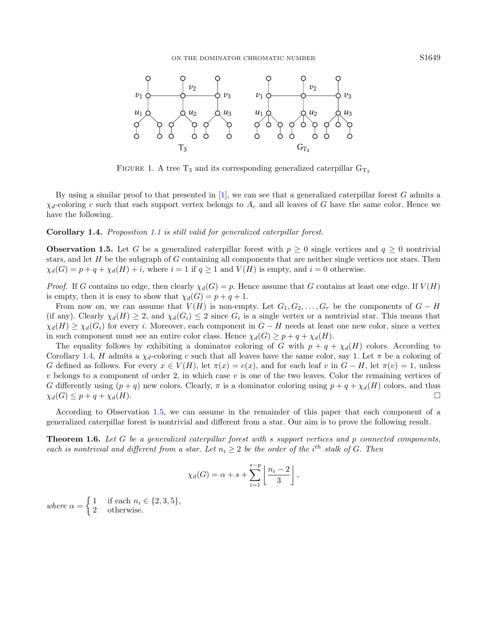<span id="page-2-0"></span>

FIGURE 1. A tree  $T_3$  and its corresponding generalized caterpillar  $G_{T_3}$ 

By using a similar proof to that presented in  $[1]$ , we can see that a generalized caterpillar forest G admits a  $\chi_d$ -coloring c such that each support vertex belongs to  $A_c$  and all leaves of G have the same color. Hence we have the following.

### <span id="page-2-1"></span>Corollary 1.4. Proposition [1.1](#page-1-0) is still valid for generalized caterpillar forest.

<span id="page-2-2"></span>**Observation 1.5.** Let G be a generalized caterpillar forest with  $p \ge 0$  single vertices and  $q \ge 0$  nontrivial stars, and let  $H$  be the subgraph of  $G$  containing all components that are neither single vertices nor stars. Then  $\chi_d(G) = p + q + \chi_d(H) + i$ , where  $i = 1$  if  $q \ge 1$  and  $V(H)$  is empty, and  $i = 0$  otherwise.

*Proof.* If G contains no edge, then clearly  $\chi_d(G) = p$ . Hence assume that G contains at least one edge. If  $V(H)$ is empty, then it is easy to show that  $\chi_d(G) = p + q + 1$ .

From now on, we can assume that  $V(H)$  is non-empty. Let  $G_1, G_2, \ldots, G_r$  be the components of  $G - H$ (if any). Clearly  $\chi_d(H) \geq 2$ , and  $\chi_d(G_i) \leq 2$  since  $G_i$  is a single vertex or a nontrivial star. This means that  $\chi_d(H) \geq \chi_d(G_i)$  for every i. Moreover, each component in  $G-H$  needs at least one new color, since a vertex in such component must see an entire color class. Hence  $\chi_d(G) \geq p + q + \chi_d(H)$ .

The equality follows by exhibiting a dominator coloring of G with  $p + q + \chi_d(H)$  colors. According to Corollary [1.4,](#page-2-1) H admits a  $\chi_d$ -coloring c such that all leaves have the same color, say 1. Let  $\pi$  be a coloring of G defined as follows. For every  $x \in V(H)$ , let  $\pi(x) = c(x)$ , and for each leaf v in  $G - H$ , let  $\pi(v) = 1$ , unless  $v$  belongs to a component of order 2, in which case  $v$  is one of the two leaves. Color the remaining vertices of G differently using  $(p+q)$  new colors. Clearly,  $\pi$  is a dominator coloring using  $p+q+\chi_d(H)$  colors, and thus  $\chi_d(G) \leq p + q + \chi_d(H).$ 

According to Observation [1.5,](#page-2-2) we can assume in the remainder of this paper that each component of a generalized caterpillar forest is nontrivial and different from a star. Our aim is to prove the following result.

<span id="page-2-3"></span>**Theorem 1.6.** Let G be a generalized caterpillar forest with s support vertices and p connected components, each is nontrivial and different from a star. Let  $n_i \geq 2$  be the order of the i<sup>th</sup> stalk of G. Then

$$
\chi_d(G) = \alpha + s + \sum_{i=1}^{s-p} \left\lfloor \frac{n_i - 2}{3} \right\rfloor,
$$

where  $\alpha = \begin{cases} 1 & \text{if each } n_i \in \{2, 3, 5\}, \\ 2 & \text{otherwise.} \end{cases}$ 2 otherwise.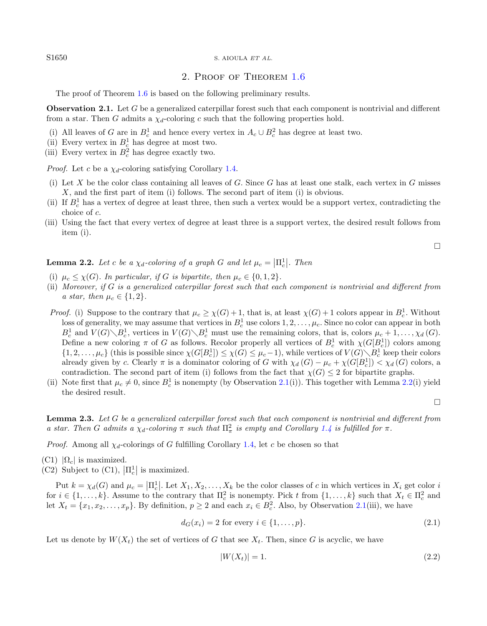S1650 S. AIOULA ET AL.

## <span id="page-3-0"></span>2. Proof of Theorem [1.6](#page-2-3)

The proof of Theorem [1.6](#page-2-3) is based on the following preliminary results.

**Observation 2.1.** Let G be a generalized caterpillar forest such that each component is nontrivial and different from a star. Then G admits a  $\chi_d$ -coloring c such that the following properties hold.

- (i) All leaves of G are in  $B_c^1$  and hence every vertex in  $A_c \cup B_c^2$  has degree at least two.
- (ii) Every vertex in  $B_c^1$  has degree at most two.
- (iii) Every vertex in  $B_c^2$  has degree exactly two.

*Proof.* Let c be a  $\chi_d$ -coloring satisfying Corollary [1.4.](#page-2-1)

- (i) Let X be the color class containing all leaves of G. Since G has at least one stalk, each vertex in G misses X, and the first part of item (i) follows. The second part of item (i) is obvious.
- (ii) If  $B_c^1$  has a vertex of degree at least three, then such a vertex would be a support vertex, contradicting the choice of c.
- (iii) Using the fact that every vertex of degree at least three is a support vertex, the desired result follows from item (i).

 $\Box$ 

<span id="page-3-1"></span>**Lemma 2.2.** Let c be a  $\chi_d$ -coloring of a graph G and let  $\mu_c = \left| \Pi_c^1 \right|$ . Then

- (i)  $\mu_c \leq \chi(G)$ . In particular, if G is bipartite, then  $\mu_c \in \{0, 1, 2\}$ .
- (ii) Moreover, if G is a generalized caterpillar forest such that each component is nontrivial and different from a star, then  $\mu_c \in \{1, 2\}$ .
- *Proof.* (i) Suppose to the contrary that  $\mu_c \ge \chi(G) + 1$ , that is, at least  $\chi(G) + 1$  colors appear in  $B_c^1$ . Without loss of generality, we may assume that vertices in  $B_c^1$  use colors  $1, 2, \ldots, \mu_c$ . Since no color can appear in both  $B_c^1$  and  $V(G)\setminus B_c^1$ , vertices in  $V(G)\setminus B_c^1$  must use the remaining colors, that is, colors  $\mu_c+1,\ldots,\chi_d(G)$ . Define a new coloring  $\pi$  of G as follows. Recolor properly all vertices of  $B_c^1$  with  $\chi(G[B_c^1])$  colors among  $\{1, 2, \ldots, \mu_c\}$  (this is possible since  $\chi(G[B_c^1]) \leq \chi(G) \leq \mu_c - 1$ ), while vertices of  $V(G) \setminus B_c^1$  keep their colors already given by c. Clearly  $\pi$  is a dominator coloring of G with  $\chi_d(G) - \mu_c + \chi(G[B_c^1]) < \chi_d(G)$  colors, a contradiction. The second part of item (i) follows from the fact that  $\chi(G) \leq 2$  for bipartite graphs.
- (ii) Note first that  $\mu_c \neq 0$ , since  $B_c^1$  is nonempty (by Observation [2.1\(](#page-3-0)i)). This together with Lemma [2.2\(](#page-3-1)i) yield the desired result.

<span id="page-3-3"></span><span id="page-3-2"></span> $\Box$ 

<span id="page-3-4"></span>Lemma 2.3. Let G be a generalized caterpillar forest such that each component is nontrivial and different from a star. Then G admits a  $\chi_d$ -coloring  $\pi$  such that  $\Pi^2_{\pi}$  is empty and Corollary [1.4](#page-2-1) is fulfilled for  $\pi$ .

*Proof.* Among all  $\chi_d$ -colorings of G fulfilling Corollary [1.4,](#page-2-1) let c be chosen so that

- $(C1)$   $|\Omega_c|$  is maximized.
- (C2) Subject to (C1),  $\left| \Pi_c^1 \right|$  is maximized.

Put  $k = \chi_d(G)$  and  $\mu_c = |\Pi_c^1|$ . Let  $X_1, X_2, \ldots, X_k$  be the color classes of c in which vertices in  $X_i$  get color is for  $i \in \{1,\ldots,k\}$ . Assume to the contrary that  $\Pi_c^2$  is nonempty. Pick t from  $\{1,\ldots,k\}$  such that  $X_t \in \Pi_c^2$  and let  $X_t = \{x_1, x_2, \ldots, x_p\}$ . By definition,  $p \ge 2$  and each  $x_i \in B_c^2$ . Also, by Observation [2.1\(](#page-3-0)iii), we have

$$
d_G(x_i) = 2 \text{ for every } i \in \{1, \dots, p\}. \tag{2.1}
$$

Let us denote by  $W(X_t)$  the set of vertices of G that see  $X_t$ . Then, since G is acyclic, we have

$$
|W(X_t)| = 1.\t\t(2.2)
$$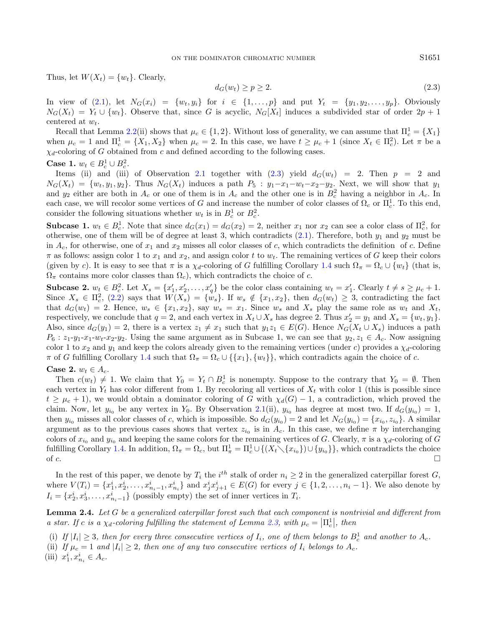Thus, let  $W(X_t) = \{w_t\}$ . Clearly,

<span id="page-4-0"></span>
$$
d_G(w_t) \ge p \ge 2. \tag{2.3}
$$

In view of  $(2.1)$ , let  $N_G(x_i) = \{w_t, y_i\}$  for  $i \in \{1, \ldots, p\}$  and put  $Y_t = \{y_1, y_2, \ldots, y_p\}$ . Obviously  $N_G(X_t) = Y_t \cup \{w_t\}$ . Observe that, since G is acyclic,  $N_G[X_t]$  induces a subdivided star of order  $2p + 1$ centered at  $w_t$ .

Recall that Lemma [2.2\(](#page-3-1)ii) shows that  $\mu_c \in \{1, 2\}$ . Without loss of generality, we can assume that  $\Pi_c^1 = \{X_1\}$ when  $\mu_c = 1$  and  $\Pi_c^1 = \{X_1, X_2\}$  when  $\mu_c = 2$ . In this case, we have  $t \ge \mu_c + 1$  (since  $X_t \in \Pi_c^2$ ). Let  $\pi$  be a  $\chi_d$ -coloring of G obtained from c and defined according to the following cases.

## Case 1.  $w_t \in B_c^1 \cup B_c^2$ .

Items (ii) and (iii) of Observation [2.1](#page-3-0) together with  $(2.3)$  yield  $d_G(w_t) = 2$ . Then  $p = 2$  and  $N_G(X_t) = \{w_t, y_1, y_2\}.$  Thus  $N_G(X_t)$  induces a path  $P_5 : y_1 - x_1 - w_t - x_2 - y_2.$  Next, we will show that  $y_1$ and  $y_2$  either are both in  $A_c$  or one of them is in  $A_c$  and the other one is in  $B_c^2$  having a neighbor in  $A_c$ . In each case, we will recolor some vertices of G and increase the number of color classes of  $\Omega_c$  or  $\Pi_c^1$ . To this end, consider the following situations whether  $w_t$  is in  $B_c^1$  or  $B_c^2$ .

**Subcase 1.**  $w_t \in B_c^1$ . Note that since  $d_G(x_1) = d_G(x_2) = 2$ , neither  $x_1$  nor  $x_2$  can see a color class of  $\Pi_c^2$ , for otherwise, one of them will be of degree at least 3, which contradicts  $(2.1)$ . Therefore, both  $y_1$  and  $y_2$  must be in  $A_c$ , for otherwise, one of  $x_1$  and  $x_2$  misses all color classes of c, which contradicts the definition of c. Define  $\pi$  as follows: assign color 1 to  $x_1$  and  $x_2$ , and assign color t to  $w_t$ . The remaining vertices of G keep their colors (given by c). It is easy to see that  $\pi$  is a  $\chi_d$ -coloring of G fulfilling Corollary [1.4](#page-2-1) such  $\Omega_{\pi} = \Omega_c \cup \{w_t\}$  (that is,  $\Omega_{\pi}$  contains more color classes than  $\Omega_c$ , which contradicts the choice of c.

**Subcase 2.**  $w_t \in B_c^2$ . Let  $X_s = \{x'_1, x'_2, \ldots, x'_q\}$  be the color class containing  $w_t = x'_1$ . Clearly  $t \neq s \geq \mu_c + 1$ . Since  $X_s \in \Pi_c^2$ , [\(2.2\)](#page-3-3) says that  $W(X_s) = \{w_s\}$ . If  $w_s \notin \{x_1, x_2\}$ , then  $d_G(w_t) \geq 3$ , contradicting the fact that  $d_G(w_t) = 2$ . Hence,  $w_s \in \{x_1, x_2\}$ , say  $w_s = x_1$ . Since  $w_s$  and  $X_s$  play the same role as  $w_t$  and  $X_t$ , respectively, we conclude that  $q = 2$ , and each vertex in  $X_t \cup X_s$  has degree 2. Thus  $x'_2 = y_1$  and  $X_s = \{w_t, y_1\}$ . Also, since  $d_G(y_1) = 2$ , there is a vertex  $z_1 \neq x_1$  such that  $y_1z_1 \in E(G)$ . Hence  $N_G(X_t \cup X_s)$  induces a path  $P_6: z_1-y_1-x_1-w_t-x_2-y_2$ . Using the same argument as in Subcase 1, we can see that  $y_2, z_1 \in A_c$ . Now assigning color 1 to  $x_2$  and  $y_1$  and keep the colors already given to the remaining vertices (under c) provides a  $\chi_d$ -coloring  $\pi$  of G fulfilling Corollary [1.4](#page-2-1) such that  $\Omega_{\pi} = \Omega_c \cup \{\{x_1\}, \{w_t\}\}\,$ , which contradicts again the choice of c.

### Case 2.  $w_t \in A_c$ .

Then  $c(w_t) \neq 1$ . We claim that  $Y_0 = Y_t \cap B_c^1$  is nonempty. Suppose to the contrary that  $Y_0 = \emptyset$ . Then each vertex in  $Y_t$  has color different from 1. By recoloring all vertices of  $X_t$  with color 1 (this is possible since  $t \geq \mu_c + 1$ , we would obtain a dominator coloring of G with  $\chi_d(G) - 1$ , a contradiction, which proved the claim. Now, let  $y_{i_0}$  be any vertex in  $Y_0$ . By Observation [2.1\(](#page-3-0)ii),  $y_{i_0}$  has degree at most two. If  $d_G(y_{i_0}) = 1$ , then  $y_{i_0}$  misses all color classes of c, which is impossible. So  $d_G(y_{i_0}) = 2$  and let  $N_G(y_{i_0}) = \{x_{i_0}, z_{i_0}\}$ . A similar argument as to the previous cases shows that vertex  $z_{i_0}$  is in  $A_c$ . In this case, we define  $\pi$  by interchanging colors of  $x_{i_0}$  and  $y_{i_0}$  and keeping the same colors for the remaining vertices of G. Clearly,  $\pi$  is a  $\chi_d$ -coloring of G fulfilling Corollary [1.4.](#page-2-1) In addition,  $\Omega_{\pi} = \Omega_c$ , but  $\Pi_{\pi}^1 = \Pi_c^1 \cup \{(X_t \setminus \{x_{i_0}\}) \cup \{y_{i_0}\}\}\)$ , which contradicts the choice of  $c$ .

In the rest of this paper, we denote by  $T_i$  the  $i^{th}$  stalk of order  $n_i \geq 2$  in the generalized caterpillar forest G, where  $V(T_i) = \{x_1^i, x_2^i, \ldots, x_{n_i-1}^i, x_{n_i}^i\}$  and  $x_j^i x_{j+1}^i \in E(G)$  for every  $j \in \{1, 2, \ldots, n_i - 1\}$ . We also denote by  $I_i = \{x_2^i, x_3^i, \dots, x_{n_i-1}^i\}$  (possibly empty) the set of inner vertices in  $T_i$ .

<span id="page-4-1"></span>Lemma 2.4. Let G be a generalized caterpillar forest such that each component is nontrivial and different from a star. If c is a  $\chi_d$ -coloring fulfilling the statement of Lemma [2.3,](#page-3-4) with  $\mu_c = \left| \Pi_c^1 \right|$ , then

- (i) If  $|I_i| \geq 3$ , then for every three consecutive vertices of  $I_i$ , one of them belongs to  $B_c^1$  and another to  $A_c$ .
- (ii) If  $\mu_c = 1$  and  $|I_i| \geq 2$ , then one of any two consecutive vertices of  $I_i$  belongs to  $A_c$ .
- (iii)  $x_1^i, x_{n_i}^i \in A_c$ .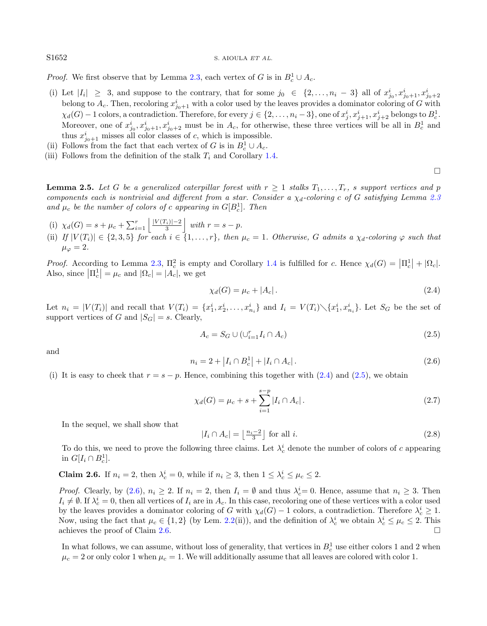S1652 S. AIOULA ET AL.

*Proof.* We first observe that by Lemma [2.3,](#page-3-4) each vertex of G is in  $B_c^1 \cup A_c$ .

- (i) Let  $|I_i| \geq 3$ , and suppose to the contrary, that for some  $j_0 \in \{2, \ldots, n_i-3\}$  all of  $x_{j_0}^i, x_{j_0+1}^i, x_{j_0+2}^i$ belong to  $A_c$ . Then, recoloring  $x_{j_0+1}^i$  with a color used by the leaves provides a dominator coloring of G with  $\chi_d(G) - 1$  colors, a contradiction. Therefore, for every  $j \in \{2, \ldots, n_i - 3\}$ , one of  $x_j^i, x_{j+1}^i, x_{j+2}^i$  belongs to  $B_c^1$ . Moreover, one of  $x_{j_0}^i, x_{j_0+1}^i, x_{j_0+2}^i$  must be in  $A_c$ , for otherwise, these three vertices will be all in  $B_c^1$  and thus  $x_{j_0+1}^i$  misses all color classes of c, which is impossible.
- (ii) Follows from the fact that each vertex of G is in  $B_c^1 \cup A_c$ .
- (iii) Follows from the definition of the stalk  $T_i$  and Corollary [1.4.](#page-2-1)

<span id="page-5-7"></span>**Lemma 2.5.** Let G be a generalized caterpillar forest with  $r \geq 1$  stalks  $T_1, \ldots, T_r$ , s support vertices and p components each is nontrivial and different from a star. Consider a  $\chi_d$ -coloring c of G satisfying Lemma [2.3](#page-3-4) and  $\mu_c$  be the number of colors of c appearing in  $G[B_c^1]$ . Then

- (i)  $\chi_d(G) = s + \mu_c + \sum_{i=1}^r \left| \frac{|V(T_i)| 2}{3} \right|$  with  $r = s p$ .
- <span id="page-5-2"></span>(ii) If  $|V(T_i)| \in \{2,3,5\}$  for each  $i \in \{1,\ldots,r\}$ , then  $\mu_c = 1$ . Otherwise, G admits a  $\chi_d$ -coloring  $\varphi$  such that  $\mu_{\varphi}=2.$

*Proof.* According to Lemma [2.3,](#page-3-4)  $\Pi_c^2$  is empty and Corollary [1.4](#page-2-1) is fulfilled for c. Hence  $\chi_d(G) = |\Pi_c^1| + |\Omega_c|$ . Also, since  $|\Pi_c^1| = \mu_c$  and  $|\Omega_c| = |A_c|$ , we get

<span id="page-5-1"></span><span id="page-5-0"></span>
$$
\chi_d(G) = \mu_c + |A_c| \,. \tag{2.4}
$$

<span id="page-5-5"></span> $\Box$ 

Let  $n_i = |V(T_i)|$  and recall that  $V(T_i) = \{x_1^i, x_2^i, \ldots, x_{n_i}^i\}$  and  $I_i = V(T_i) \setminus \{x_1^i, x_{n_i}^i\}$ . Let  $S_G$  be the set of support vertices of G and  $|S_G| = s$ . Clearly,

<span id="page-5-6"></span>
$$
A_c = S_G \cup (\cup_{i=1}^r I_i \cap A_c) \tag{2.5}
$$

and

$$
n_i = 2 + |I_i \cap B_c^1| + |I_i \cap A_c|.
$$
\n(2.6)

(i) It is easy to cheek that  $r = s - p$ . Hence, combining this together with [\(2.4\)](#page-5-0) and [\(2.5\)](#page-5-1), we obtain

$$
\chi_d(G) = \mu_c + s + \sum_{i=1}^{s-p} |I_i \cap A_c| \,. \tag{2.7}
$$

In the sequel, we shall show that

$$
|I_i \cap A_c| = \left\lfloor \frac{n_i - 2}{3} \right\rfloor \text{ for all } i. \tag{2.8}
$$

To do this, we need to prove the following three claims. Let  $\lambda_c^i$  denote the number of colors of c appearing in  $G[I_i \cap B_c^1]$ .

<span id="page-5-3"></span>**Claim 2.6.** If  $n_i = 2$ , then  $\lambda_c^i = 0$ , while if  $n_i \geq 3$ , then  $1 \leq \lambda_c^i \leq \mu_c \leq 2$ .

*Proof.* Clearly, by [\(2.6\)](#page-5-2),  $n_i \ge 2$ . If  $n_i = 2$ , then  $I_i = \emptyset$  and thus  $\lambda_c^i = 0$ . Hence, assume that  $n_i \ge 3$ . Then  $I_i \neq \emptyset$ . If  $\lambda_c^i = 0$ , then all vertices of  $I_i$  are in  $A_c$ . In this case, recoloring one of these vertices with a color used by the leaves provides a dominator coloring of G with  $\chi_d(G) - 1$  colors, a contradiction. Therefore  $\lambda_c^i \geq 1$ . Now, using the fact that  $\mu_c \in \{1, 2\}$  (by Lem. [2.2\(](#page-3-1)ii)), and the definition of  $\lambda_c^i$  we obtain  $\lambda_c^i \leq \mu_c \leq 2$ . This achieves the proof of Claim [2.6.](#page-5-3)  $\Box$ 

<span id="page-5-4"></span>In what follows, we can assume, without loss of generality, that vertices in  $B_c^1$  use either colors 1 and 2 when  $\mu_c = 2$  or only color 1 when  $\mu_c = 1$ . We will additionally assume that all leaves are colored with color 1.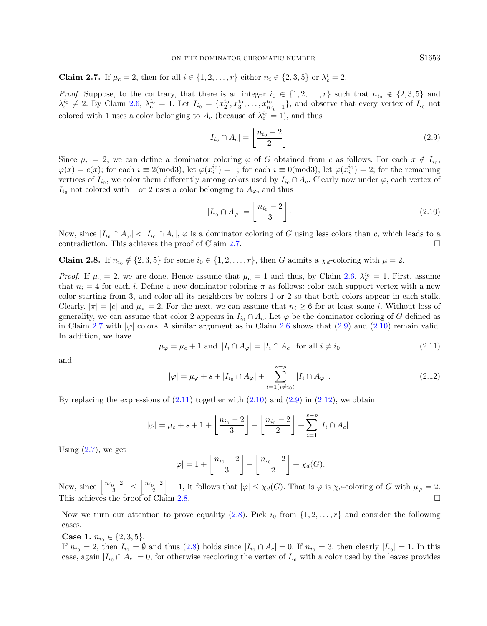**Claim 2.7.** If  $\mu_c = 2$ , then for all  $i \in \{1, 2, ..., r\}$  either  $n_i \in \{2, 3, 5\}$  or  $\lambda_c^i = 2$ .

*Proof.* Suppose, to the contrary, that there is an integer  $i_0 \in \{1, 2, ..., r\}$  such that  $n_{i_0} \notin \{2, 3, 5\}$  and  $\lambda_c^{i_0} \neq 2$ . By Claim [2.6,](#page-5-3)  $\lambda_c^{i_0} = 1$ . Let  $I_{i_0} = \{x_2^{i_0}, x_3^{i_0}, \ldots, x_{n_{i_0}-1}^{i_0}\}$ , and observe that every vertex of  $I_{i_0}$  not colored with 1 uses a color belonging to  $A_c$  (because of  $\lambda_c^{i_0} = 1$ ), and thus

<span id="page-6-1"></span>
$$
|I_{i_0} \cap A_c| = \left\lfloor \frac{n_{i_0} - 2}{2} \right\rfloor.
$$
 (2.9)

Since  $\mu_c = 2$ , we can define a dominator coloring  $\varphi$  of G obtained from c as follows. For each  $x \notin I_{i_0}$ ,  $\varphi(x) = c(x)$ ; for each  $i \equiv 2 \pmod{3}$ , let  $\varphi(x_i^{i_0}) = 1$ ; for each  $i \equiv 0 \pmod{3}$ , let  $\varphi(x_i^{i_0}) = 2$ ; for the remaining vertices of  $I_{i_0}$ , we color them differently among colors used by  $I_{i_0} \cap A_c$ . Clearly now under  $\varphi$ , each vertex of  $I_{i_0}$  not colored with 1 or 2 uses a color belonging to  $A_{\varphi}$ , and thus

$$
|I_{i_0} \cap A_{\varphi}| = \left\lfloor \frac{n_{i_0} - 2}{3} \right\rfloor. \tag{2.10}
$$

<span id="page-6-3"></span><span id="page-6-2"></span>Now, since  $|I_{i_0} \cap A_{\varphi}| < |I_{i_0} \cap A_c|$ ,  $\varphi$  is a dominator coloring of G using less colors than c, which leads to a contradiction. This achieves the proof of Claim [2.7.](#page-5-4)

<span id="page-6-4"></span>Claim 2.8. If  $n_{i_0} \notin \{2,3,5\}$  for some  $i_0 \in \{1,2,\ldots,r\}$ , then G admits a  $\chi_d$ -coloring with  $\mu = 2$ .

*Proof.* If  $\mu_c = 2$ , we are done. Hence assume that  $\mu_c = 1$  and thus, by Claim [2.6,](#page-5-3)  $\lambda_c^{i_0} = 1$ . First, assume that  $n_i = 4$  for each i. Define a new dominator coloring  $\pi$  as follows: color each support vertex with a new color starting from 3, and color all its neighbors by colors 1 or 2 so that both colors appear in each stalk. Clearly,  $|\pi| = |c|$  and  $\mu_{\pi} = 2$ . For the next, we can assume that  $n_i \geq 6$  for at least some *i*. Without loss of generality, we can assume that color 2 appears in  $I_{i_0} \cap A_c$ . Let  $\varphi$  be the dominator coloring of G defined as in Claim [2.7](#page-5-4) with  $|\varphi|$  colors. A similar argument as in Claim [2.6](#page-5-3) shows that [\(2.9\)](#page-6-0) and [\(2.10\)](#page-6-1) remain valid. In addition, we have

$$
\mu_{\varphi} = \mu_c + 1 \text{ and } |I_i \cap A_{\varphi}| = |I_i \cap A_c| \text{ for all } i \neq i_0
$$
\n(2.11)

and

$$
|\varphi| = \mu_{\varphi} + s + |I_{i_0} \cap A_{\varphi}| + \sum_{i=1 (i \neq i_0)}^{s-p} |I_i \cap A_{\varphi}|.
$$
 (2.12)

By replacing the expressions of  $(2.11)$  together with  $(2.10)$  and  $(2.9)$  in  $(2.12)$ , we obtain

$$
|\varphi| = \mu_c + s + 1 + \left\lfloor \frac{n_{i_0} - 2}{3} \right\rfloor - \left\lfloor \frac{n_{i_0} - 2}{2} \right\rfloor + \sum_{i=1}^{s-p} |I_i \cap A_c|.
$$

Using  $(2.7)$ , we get

$$
|\varphi| = 1 + \left\lfloor \frac{n_{i_0} - 2}{3} \right\rfloor - \left\lfloor \frac{n_{i_0} - 2}{2} \right\rfloor + \chi_d(G).
$$

Now, since  $\left|\frac{n_{i_0}-2}{3}\right| \leq \left|\frac{n_{i_0}-2}{2}\right| - 1$ , it follows that  $|\varphi| \leq \chi_d(G)$ . That is  $\varphi$  is  $\chi_d$ -coloring of G with  $\mu_{\varphi} = 2$ . This achieves the proof of Claim [2.8.](#page-6-4)  $\Box$ 

Now we turn our attention to prove equality [\(2.8\)](#page-5-6). Pick  $i_0$  from  $\{1, 2, \ldots, r\}$  and consider the following cases.

Case 1.  $n_{i_0} \in \{2, 3, 5\}.$ 

If  $n_{i_0} = 2$ , then  $I_{i_0} = \emptyset$  and thus  $(2.8)$  holds since  $|I_{i_0} \cap A_c| = 0$ . If  $n_{i_0} = 3$ , then clearly  $|I_{i_0}| = 1$ . In this case, again  $|I_{i_0} \cap A_c| = 0$ , for otherwise recoloring the vertex of  $I_{i_0}$  with a color used by the leaves provides

<span id="page-6-0"></span>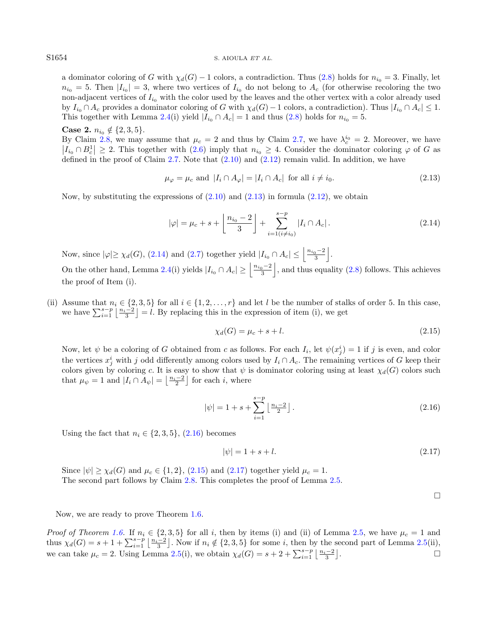a dominator coloring of G with  $\chi_d(G) - 1$  colors, a contradiction. Thus [\(2.8\)](#page-5-6) holds for  $n_{i_0} = 3$ . Finally, let  $n_{i_0} = 5$ . Then  $|I_{i_0}| = 3$ , where two vertices of  $I_{i_0}$  do not belong to  $A_c$  (for otherwise recoloring the two non-adjacent vertices of  $I_{i_0}$  with the color used by the leaves and the other vertex with a color already used by  $I_{i_0} \cap A_c$  provides a dominator coloring of G with  $\chi_d(G) - 1$  colors, a contradiction). Thus  $|I_{i_0} \cap A_c| \leq 1$ . This together with Lemma [2.4\(](#page-4-1)i) yield  $|I_{i_0} \cap A_c| = 1$  and thus [\(2.8\)](#page-5-6) holds for  $n_{i_0} = 5$ .

### Case 2.  $n_{i_0} \notin \{2,3,5\}.$

By Claim [2.8,](#page-6-4) we may assume that  $\mu_c = 2$  and thus by Claim [2.7,](#page-5-4) we have  $\lambda_c^{i_0} = 2$ . Moreover, we have  $|I_{i_0} \cap B_c^1| \geq 2$ . This together with  $(2.6)$  imply that  $n_{i_0} \geq 4$ . Consider the dominator coloring  $\varphi$  of G as defined in the proof of Claim [2.7.](#page-5-4) Note that  $(2.10)$  and  $(2.12)$  remain valid. In addition, we have

<span id="page-7-1"></span><span id="page-7-0"></span>
$$
\mu_{\varphi} = \mu_c \text{ and } |I_i \cap A_{\varphi}| = |I_i \cap A_c| \text{ for all } i \neq i_0.
$$
\n(2.13)

Now, by substituting the expressions of  $(2.10)$  and  $(2.13)$  in formula  $(2.12)$ , we obtain

<span id="page-7-3"></span>
$$
|\varphi| = \mu_c + s + \left\lfloor \frac{n_{i_0} - 2}{3} \right\rfloor + \sum_{i=1(i \neq i_0)}^{s-p} |I_i \cap A_c|.
$$
 (2.14)

Now, since  $|\varphi| \geq \chi_d(G)$ , [\(2.14\)](#page-7-1) and [\(2.7\)](#page-5-5) together yield  $|I_{i_0} \cap A_c| \leq \left| \frac{n_{i_0}-2}{3} \right|$ .

On the other hand, Lemma [2.4\(](#page-4-1)i) yields  $|I_{i_0} \cap A_c| \ge \left|\frac{n_{i_0}-2}{3}\right|$ , and thus equality [\(2.8\)](#page-5-6) follows. This achieves the proof of Item (i).

(ii) Assume that  $n_i \in \{2, 3, 5\}$  for all  $i \in \{1, 2, ..., r\}$  and let l be the number of stalks of order 5. In this case, we have  $\sum_{i=1}^{s-p} \left\lfloor \frac{n_i-2}{3} \right\rfloor = l$ . By replacing this in the expression of item (i), we get

<span id="page-7-4"></span><span id="page-7-2"></span>
$$
\chi_d(G) = \mu_c + s + l. \tag{2.15}
$$

Now, let  $\psi$  be a coloring of G obtained from c as follows. For each  $I_i$ , let  $\psi(x_j^i) = 1$  if j is even, and color the vertices  $x_j^i$  with j odd differently among colors used by  $I_i \cap A_c$ . The remaining vertices of G keep their colors given by coloring c. It is easy to show that  $\psi$  is dominator coloring using at least  $\chi_d(G)$  colors such that  $\mu_{\psi} = 1$  and  $|I_i \cap A_{\psi}| = \left\lfloor \frac{n_i-2}{2} \right\rfloor$  for each *i*, where

$$
|\psi| = 1 + s + \sum_{i=1}^{s-p} \left\lfloor \frac{n_i - 2}{2} \right\rfloor.
$$
 (2.16)

Using the fact that  $n_i \in \{2, 3, 5\}$ ,  $(2.16)$  becomes

$$
|\psi| = 1 + s + l. \tag{2.17}
$$

Since  $|\psi| \geq \chi_d(G)$  and  $\mu_c \in \{1, 2\}$ , [\(2.15\)](#page-7-3) and [\(2.17\)](#page-7-4) together yield  $\mu_c = 1$ . The second part follows by Claim [2.8.](#page-6-4) This completes the proof of Lemma [2.5.](#page-5-7)

 $\Box$ 

Now, we are ready to prove Theorem [1.6.](#page-2-3)

*Proof of Theorem [1.6.](#page-2-3)* If  $n_i \in \{2,3,5\}$  for all i, then by items (i) and (ii) of Lemma [2.5,](#page-5-7) we have  $\mu_c = 1$  and thus  $\chi_d(G) = s + 1 + \sum_{i=1}^{s-p} \left\lfloor \frac{n_i-2}{3} \right\rfloor$ . Now if  $n_i \notin \{2,3,5\}$  for some i, then by the second part of Lemma [2.5\(](#page-5-7)ii), we can take  $\mu_c = 2$ . Using Lemma [2.5\(](#page-5-7)i), we obtain  $\chi_d(G) = s + 2 + \sum_{i=1}^{s-p} \left\lfloor \frac{n_i-2}{3} \right\rfloor$ .